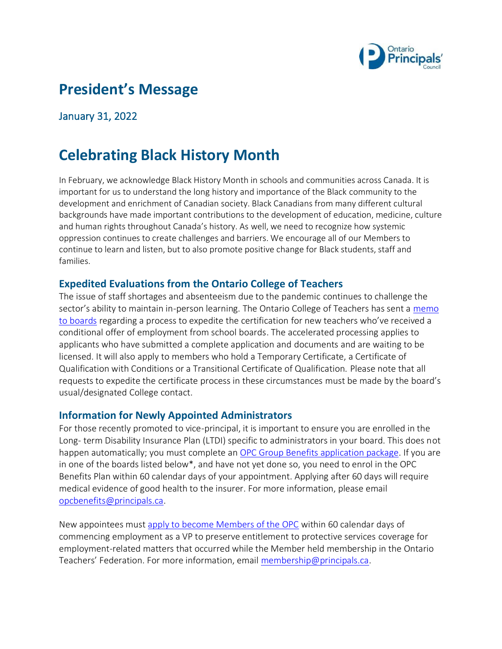

# **President's Message**

January 31, 2022

# **Celebrating Black History Month**

In February, we acknowledge Black History Month in schools and communities across Canada. It is important for us to understand the long history and importance of the Black community to the development and enrichment of Canadian society. Black Canadians from many different cultural backgrounds have made important contributions to the development of education, medicine, culture and human rights throughout Canada's history. As well, we need to recognize how systemic oppression continues to create challenges and barriers. We encourage all of our Members to continue to learn and listen, but to also promote positive change for Black students, staff and families.

### **Expedited Evaluations from the Ontario College of Teachers**

The issue of staff shortages and absenteeism due to the pandemic continues to challenge the sector's ability to maintain in-person learning. The Ontario College of Teachers has sent a [memo](https://www.principals.ca/en/resourcesGeneral/protected/Government-and-Ministry-News/Memo-for-employers---2022-01-18-EN.pdf)  [to boards](https://www.principals.ca/en/resourcesGeneral/protected/Government-and-Ministry-News/Memo-for-employers---2022-01-18-EN.pdf) regarding a process to expedite the certification for new teachers who've received a conditional offer of employment from school boards. The accelerated processing applies to applicants who have submitted a complete application and documents and are waiting to be licensed. It will also apply to members who hold a Temporary Certificate, a Certificate of Qualification with Conditions or a Transitional Certificate of Qualification. Please note that all requests to expedite the certificate process in these circumstances must be made by the board's usual/designated College contact.

#### **Information for Newly Appointed Administrators**

For those recently promoted to vice-principal, it is important to ensure you are enrolled in the Long- term Disability Insurance Plan (LTDI) specific to administrators in your board. This does not happen automatically; you must complete a[n OPC Group Benefits application package.](https://www.principals.ca/en/membership/resources/Documents/OPCBenefitsPackageNewMembers.pdf) If you are in one of the boards listed below\*, and have not yet done so, you need to enrol in the OPC Benefits Plan within 60 calendar days of your appointment. Applying after 60 days will require medical evidence of good health to the insurer. For more information, please email [opcbenefits@principals.ca.](mailto:opcbenefits@principals.ca)

New appointees must [apply to become Members of the OPC](https://www.principals.ca/en/membership/resources/Documents/OPCMembershipApplication.pdf) within 60 calendar days of commencing employment as a VP to preserve entitlement to protective services coverage for employment-related matters that occurred while the Member held membership in the Ontario Teachers' Federation. For more information, email [membership@principals.ca.](mailto:membership@principals.ca)